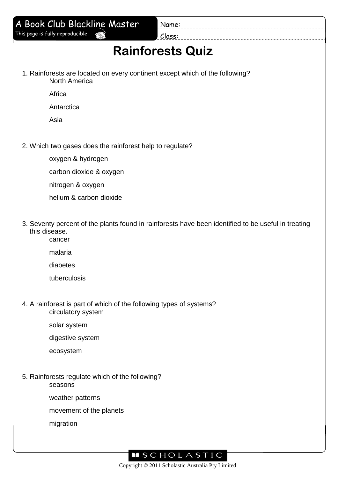| A Book Club Blackline Master                                                                         | Name:                                                                                               |  |  |  |
|------------------------------------------------------------------------------------------------------|-----------------------------------------------------------------------------------------------------|--|--|--|
| This page is fully reproducible                                                                      | Class:                                                                                              |  |  |  |
|                                                                                                      | <b>Rainforests Quiz</b>                                                                             |  |  |  |
| 1. Rainforests are located on every continent except which of the following?<br><b>North America</b> |                                                                                                     |  |  |  |
| Africa                                                                                               |                                                                                                     |  |  |  |
| Antarctica                                                                                           |                                                                                                     |  |  |  |
| Asia                                                                                                 |                                                                                                     |  |  |  |
| 2. Which two gases does the rainforest help to regulate?                                             |                                                                                                     |  |  |  |
| oxygen & hydrogen                                                                                    |                                                                                                     |  |  |  |
| carbon dioxide & oxygen                                                                              |                                                                                                     |  |  |  |
| nitrogen & oxygen                                                                                    |                                                                                                     |  |  |  |
| helium & carbon dioxide                                                                              |                                                                                                     |  |  |  |
| this disease.<br>cancer                                                                              | 3. Seventy percent of the plants found in rainforests have been identified to be useful in treating |  |  |  |
| malaria                                                                                              |                                                                                                     |  |  |  |
| diabetes                                                                                             |                                                                                                     |  |  |  |
| tuberculosis                                                                                         |                                                                                                     |  |  |  |
| 4. A rainforest is part of which of the following types of systems?<br>circulatory system            |                                                                                                     |  |  |  |
| solar system                                                                                         |                                                                                                     |  |  |  |
| digestive system                                                                                     |                                                                                                     |  |  |  |
| ecosystem                                                                                            |                                                                                                     |  |  |  |
| 5. Rainforests regulate which of the following?<br>seasons                                           |                                                                                                     |  |  |  |
| weather patterns                                                                                     |                                                                                                     |  |  |  |
| movement of the planets                                                                              |                                                                                                     |  |  |  |
| migration                                                                                            |                                                                                                     |  |  |  |